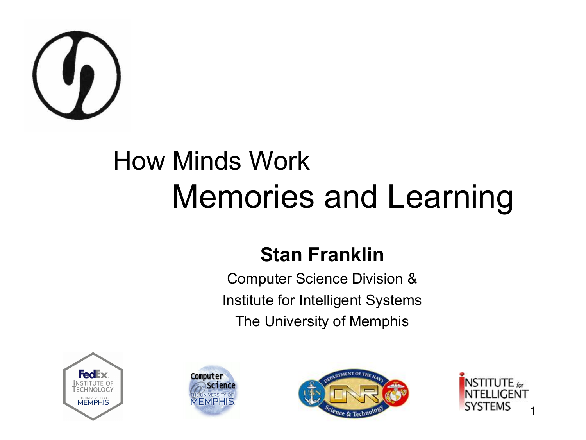

#### How Minds Work Memories and Learning

#### **Stan Franklin**

Computer Science Division & Institute for Intelligent Systems The University of Memphis







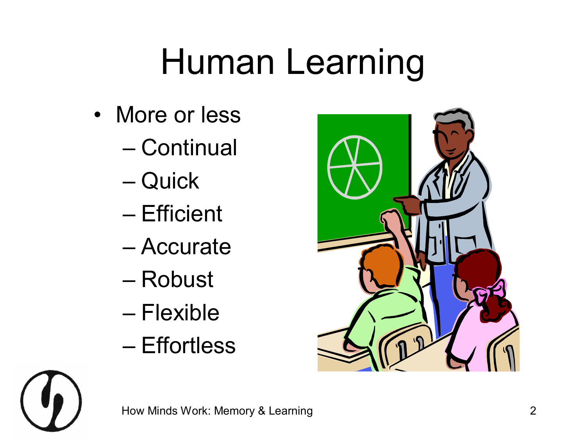## Human Learning

- More or less
	- Continual
	- Quick
	- Efficient
	- Accurate
	- Robust
	- Flexible
	- Effortless

![](_page_1_Picture_9.jpeg)

![](_page_1_Picture_10.jpeg)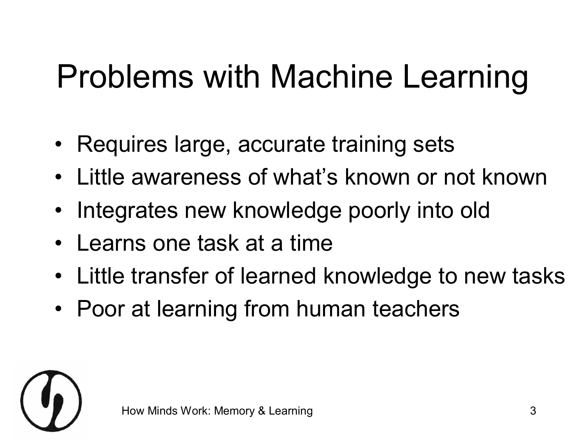#### Problems with Machine Learning

- Requires large, accurate training sets
- Little awareness of what's known or not known
- Integrates new knowledge poorly into old
- Learns one task at a time
- Little transfer of learned knowledge to new tasks
- Poor at learning from human teachers

![](_page_2_Picture_7.jpeg)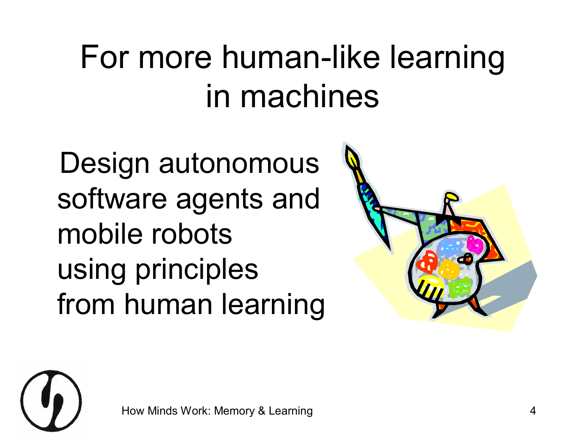#### For more human-like learning in machines

Design autonomous software agents and mobile robots using principles from human learning

![](_page_3_Picture_2.jpeg)

![](_page_3_Picture_3.jpeg)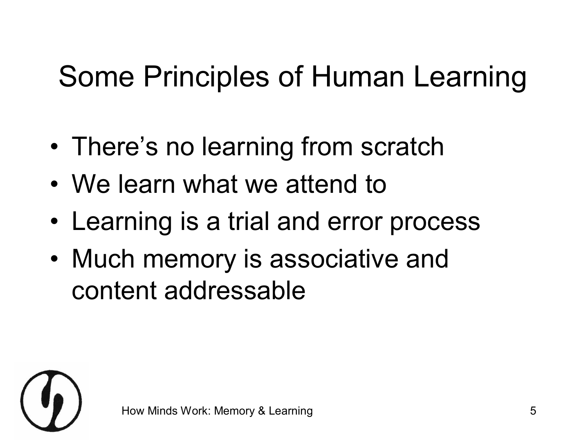#### Some Principles of Human Learning

- There's no learning from scratch
- We learn what we attend to
- Learning is a trial and error process
- Much memory is associative and content addressable

![](_page_4_Picture_5.jpeg)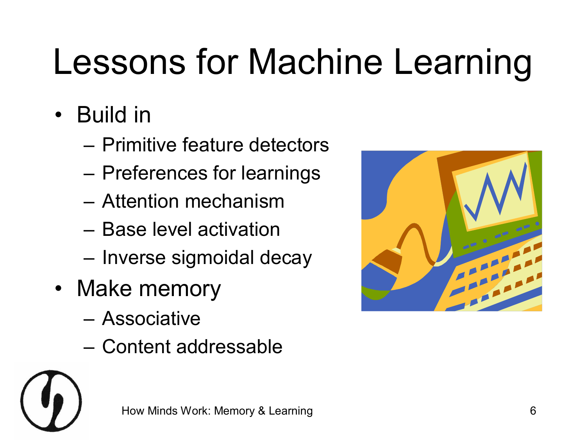## Lessons for Machine Learning

- Build in
	- Primitive feature detectors
	- Preferences for learnings
	- Attention mechanism
	- Base level activation
	- Inverse sigmoidal decay
- Make memory
	- Associative
	- Content addressable

![](_page_5_Picture_10.jpeg)

![](_page_5_Picture_11.jpeg)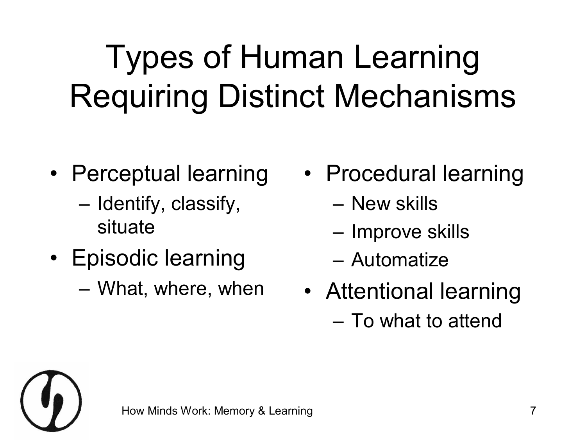#### Types of Human Learning Requiring Distinct Mechanisms

- Perceptual learning
	- Identify, classify, situate
- Episodic learning
	- What, where, when
- Procedural learning
	- New skills
	- Improve skills
	- Automatize
- Attentional learning – To what to attend

![](_page_6_Picture_10.jpeg)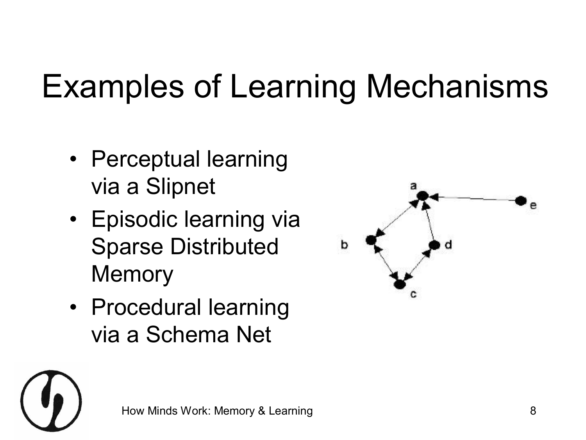#### Examples of Learning Mechanisms

- Perceptual learning via a Slipnet
- Episodic learning via Sparse Distributed **Memory**
- Procedural learning via a Schema Net

![](_page_7_Figure_4.jpeg)

![](_page_7_Picture_5.jpeg)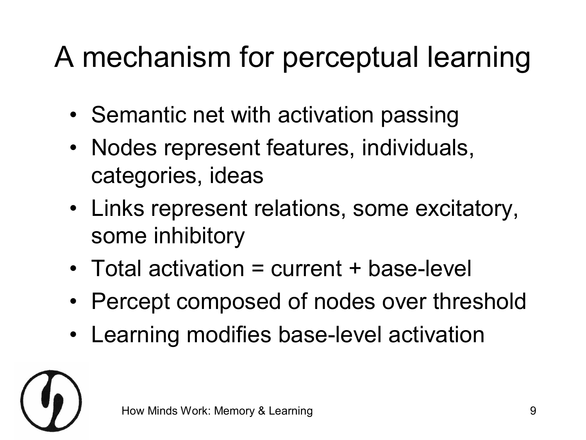#### A mechanism for perceptual learning

- Semantic net with activation passing
- Nodes represent features, individuals, categories, ideas
- Links represent relations, some excitatory, some inhibitory
- $\bullet$  Total activation = current + base-level
- Percept composed of nodes over threshold
- Learning modifies base-level activation

![](_page_8_Picture_7.jpeg)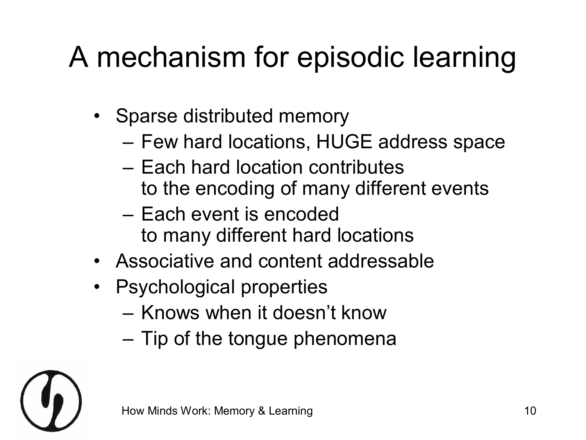#### A mechanism for episodic learning

- Sparse distributed memory
	- Few hard locations, HUGE address space
	- Each hard location contributes to the encoding of many different events
	- Each event is encoded to many different hard locations
- Associative and content addressable
- Psychological properties
	- Knows when it doesn't know
	- Tip of the tongue phenomena

![](_page_9_Picture_9.jpeg)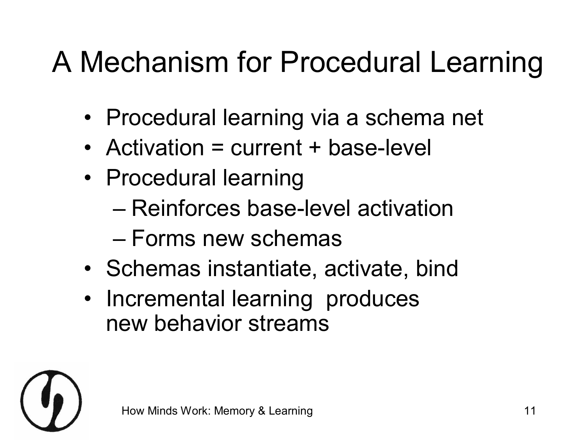#### A Mechanism for Procedural Learning

- Procedural learning via a schema net
- Activation = current + base-level
- Procedural learning
	- Reinforces base-level activation
	- Forms new schemas
- Schemas instantiate, activate, bind
- Incremental learning produces new behavior streams

![](_page_10_Picture_8.jpeg)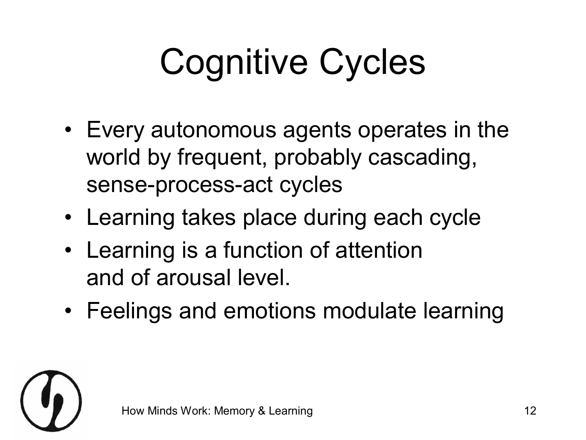## Cognitive Cycles

- Every autonomous agents operates in the world by frequent, probably cascading, sense-process-act cycles
- Learning takes place during each cycle
- Learning is a function of attention and of arousal level.
- Feelings and emotions modulate learning

![](_page_11_Picture_5.jpeg)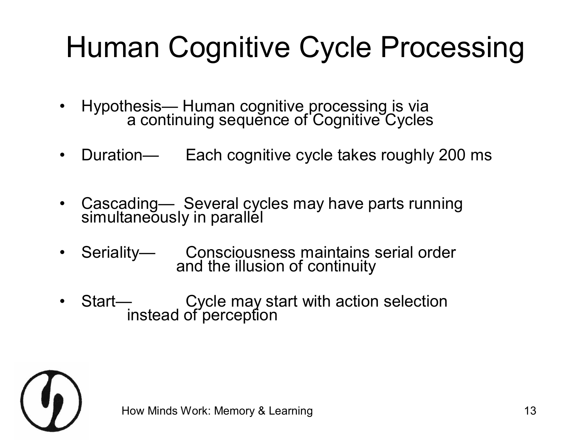#### Human Cognitive Cycle Processing

- Hypothesis— Human cognitive processing is via a continuing sequence of Cognitive Cycles
- Duration— Each cognitive cycle takes roughly 200 ms
- Cascading— Several cycles may have parts running simultaneously in parallel
- Seriality— Consciousness maintains serial order and the illusion of continuity
- Start— Cycle may start with action selection instead of perception

![](_page_12_Picture_6.jpeg)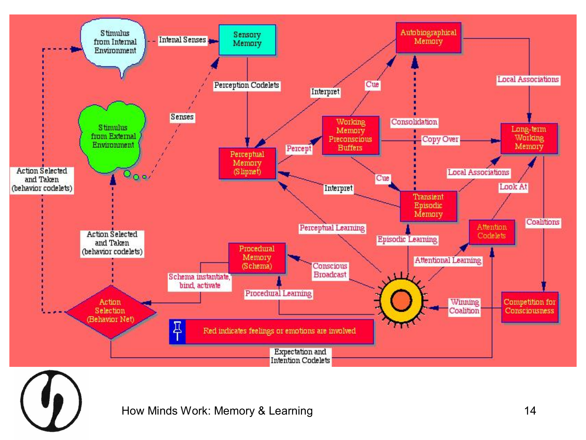![](_page_13_Figure_0.jpeg)

How Minds Work: Memory & Learning **14**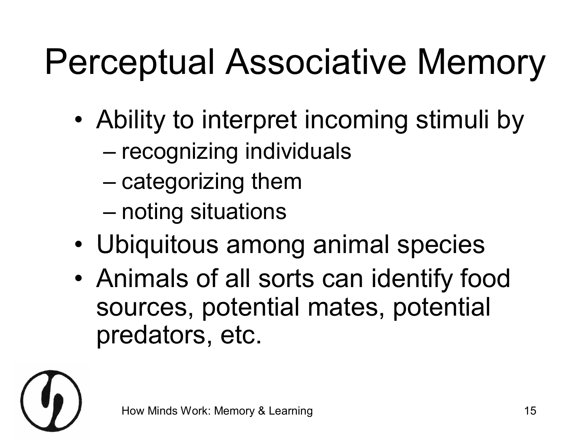## Perceptual Associative Memory

- Ability to interpret incoming stimuli by
	- recognizing individuals
	- categorizing them
	- noting situations
- Ubiquitous among animal species
- Animals of all sorts can identify food sources, potential mates, potential predators, etc.

![](_page_14_Picture_7.jpeg)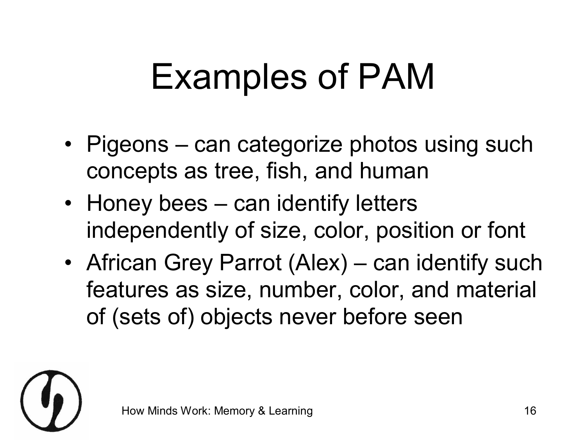## Examples of PAM

- Pigeons can categorize photos using such concepts as tree, fish, and human
- Honey bees can identify letters independently of size, color, position or font
- African Grey Parrot (Alex) can identify such features as size, number, color, and material of (sets of) objects never before seen

![](_page_15_Picture_4.jpeg)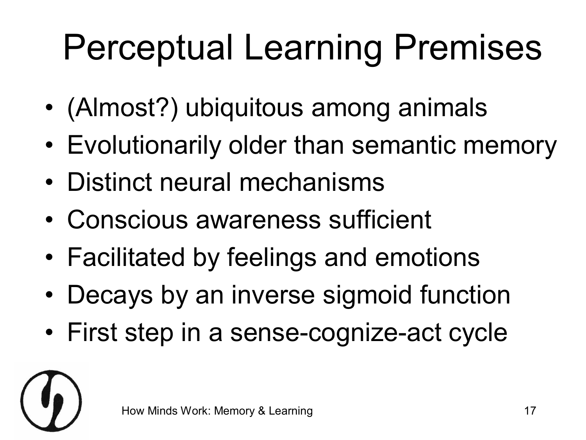## Perceptual Learning Premises

- (Almost?) ubiquitous among animals
- Evolutionarily older than semantic memory
- Distinct neural mechanisms
- Conscious awareness sufficient
- Facilitated by feelings and emotions
- Decays by an inverse sigmoid function
- First step in a sense-cognize-act cycle

![](_page_16_Picture_8.jpeg)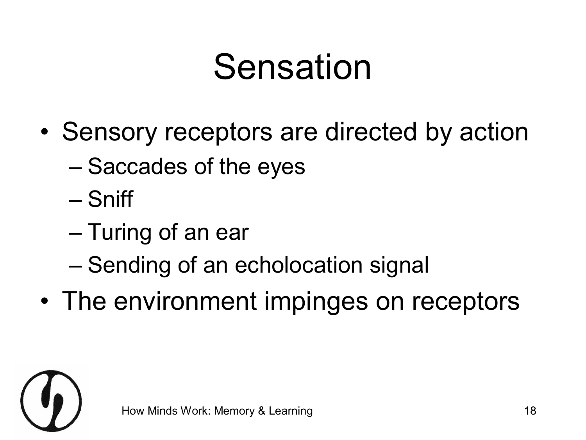### Sensation

- Sensory receptors are directed by action
	- Saccades of the eyes
	- Sniff
	- Turing of an ear
	- Sending of an echolocation signal
- The environment impinges on receptors

![](_page_17_Picture_7.jpeg)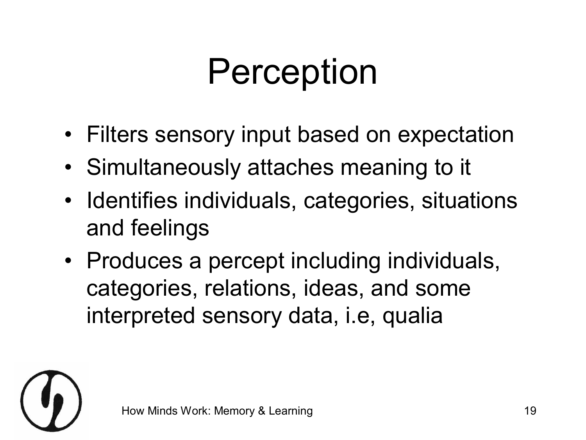## Perception

- Filters sensory input based on expectation
- Simultaneously attaches meaning to it
- Identifies individuals, categories, situations and feelings
- Produces a percept including individuals, categories, relations, ideas, and some interpreted sensory data, i.e, qualia

![](_page_18_Picture_5.jpeg)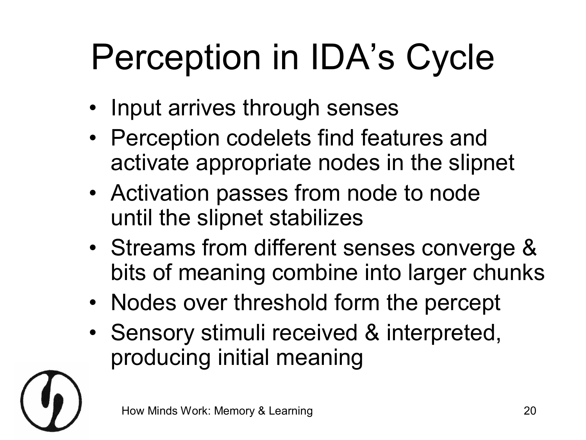## Perception in IDA's Cycle

- Input arrives through senses
- Perception codelets find features and activate appropriate nodes in the slipnet
- Activation passes from node to node until the slipnet stabilizes
- Streams from different senses converge & bits of meaning combine into larger chunks
- Nodes over threshold form the percept
- Sensory stimuli received & interpreted, producing initial meaning

![](_page_19_Picture_7.jpeg)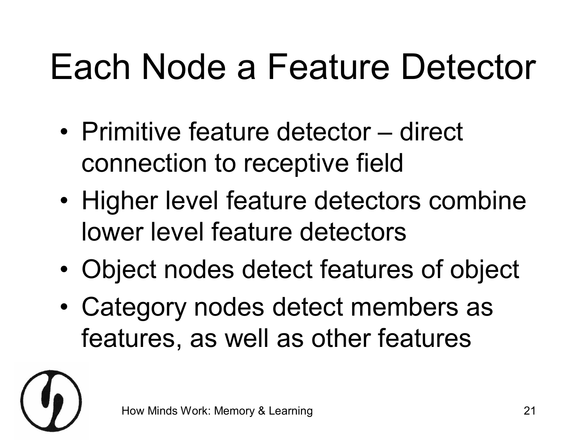## Each Node a Feature Detector

- Primitive feature detector direct connection to receptive field
- Higher level feature detectors combine lower level feature detectors
- Object nodes detect features of object
- Category nodes detect members as features, as well as other features

![](_page_20_Picture_5.jpeg)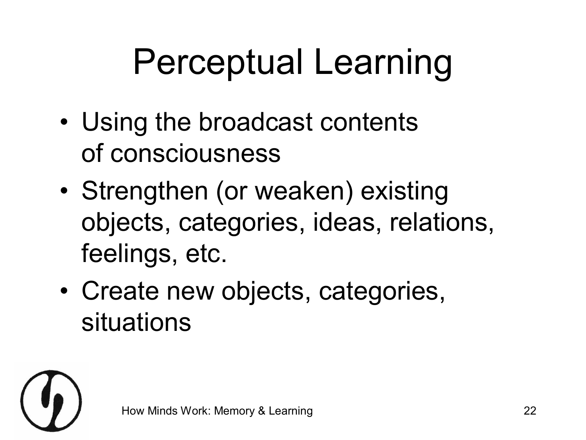## Perceptual Learning

- Using the broadcast contents of consciousness
- Strengthen (or weaken) existing objects, categories, ideas, relations, feelings, etc.
- Create new objects, categories, situations

![](_page_21_Picture_4.jpeg)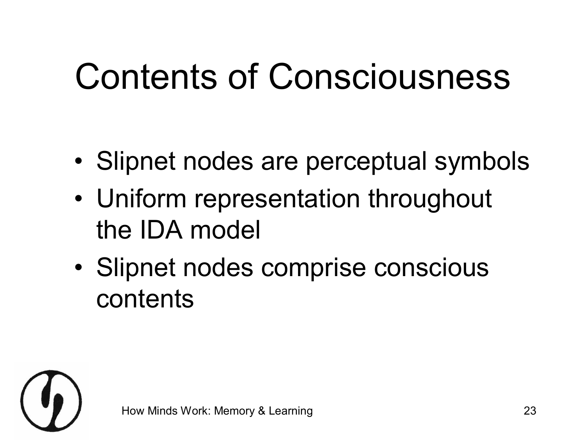## Contents of Consciousness

- Slipnet nodes are perceptual symbols
- Uniform representation throughout the IDA model
- Slipnet nodes comprise conscious contents

![](_page_22_Picture_4.jpeg)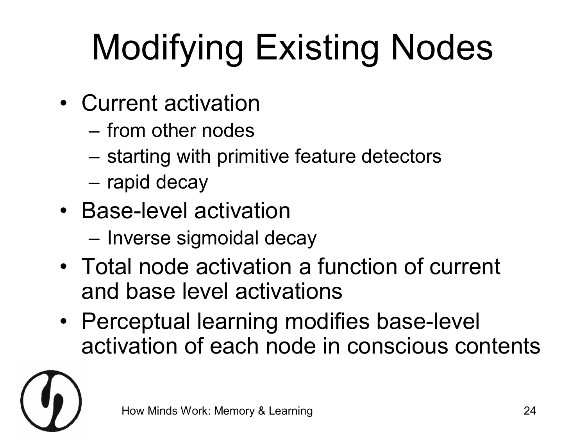## Modifying Existing Nodes

- Current activation
	- from other nodes
	- starting with primitive feature detectors
	- rapid decay
- Base-level activation
	- Inverse sigmoidal decay
- Total node activation a function of current and base level activations
- Perceptual learning modifies base-level activation of each node in conscious contents

![](_page_23_Picture_9.jpeg)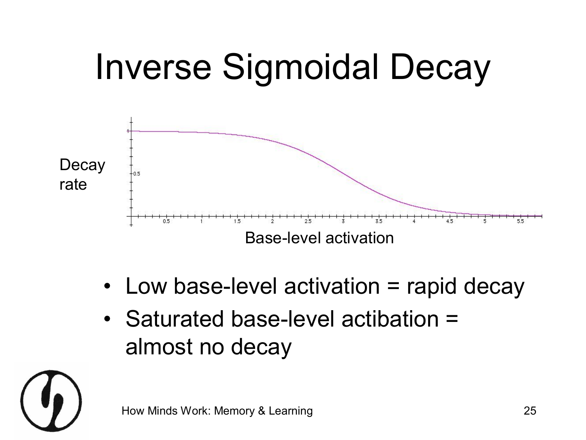![](_page_24_Figure_0.jpeg)

- Low base-level activation  $=$  rapid decay
- Saturated base-level actibation = almost no decay

![](_page_24_Picture_3.jpeg)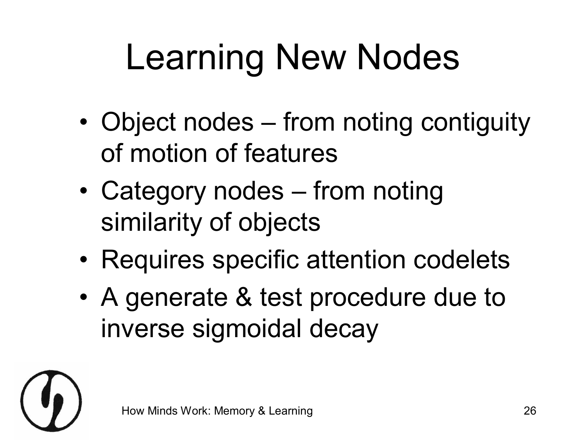## Learning New Nodes

- Object nodes from noting contiguity of motion of features
- Category nodes from noting similarity of objects
- Requires specific attention codelets
- A generate & test procedure due to inverse sigmoidal decay

![](_page_25_Picture_5.jpeg)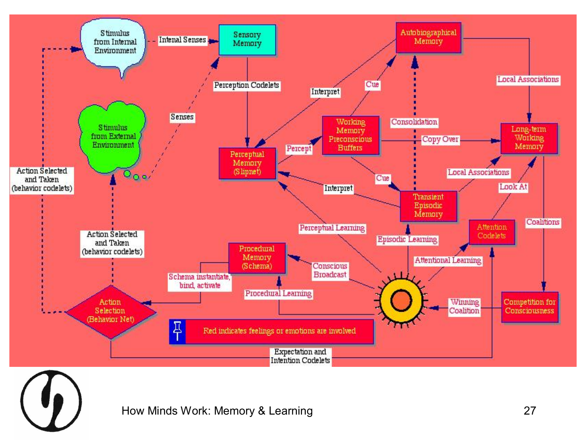![](_page_26_Figure_0.jpeg)

How Minds Work: Memory & Learning **27** and 27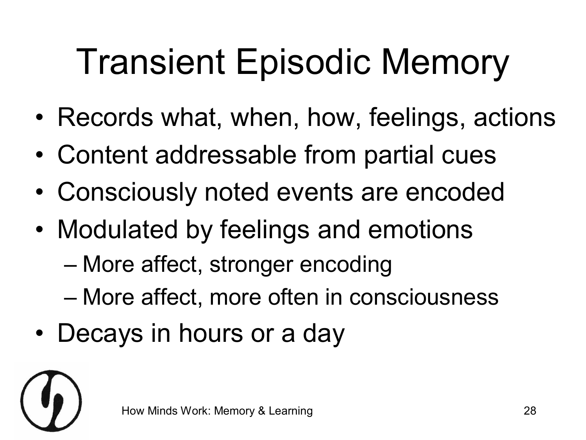## Transient Episodic Memory

- Records what, when, how, feelings, actions
- Content addressable from partial cues
- Consciously noted events are encoded
- Modulated by feelings and emotions
	- More affect, stronger encoding
	- More affect, more often in consciousness
- Decays in hours or a day

![](_page_27_Picture_8.jpeg)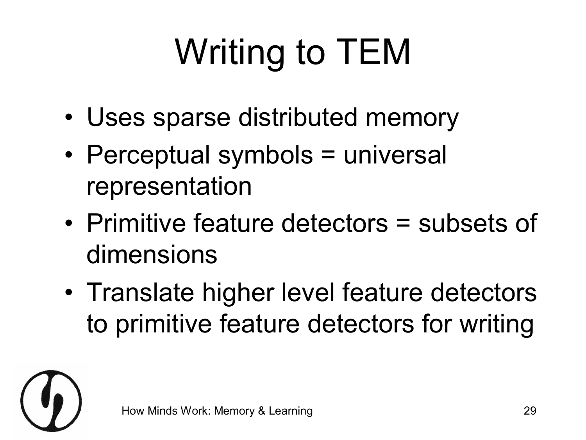# Writing to TEM

- Uses sparse distributed memory
- Perceptual symbols = universal representation
- Primitive feature detectors = subsets of dimensions
- Translate higher level feature detectors to primitive feature detectors for writing

![](_page_28_Picture_5.jpeg)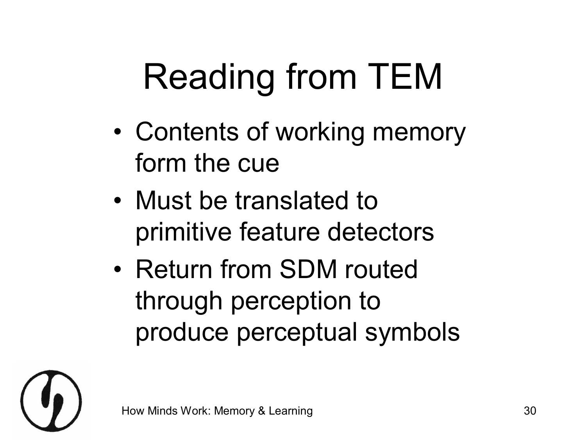## Reading from TEM

- Contents of working memory form the cue
- Must be translated to primitive feature detectors
- Return from SDM routed through perception to produce perceptual symbols

![](_page_29_Picture_4.jpeg)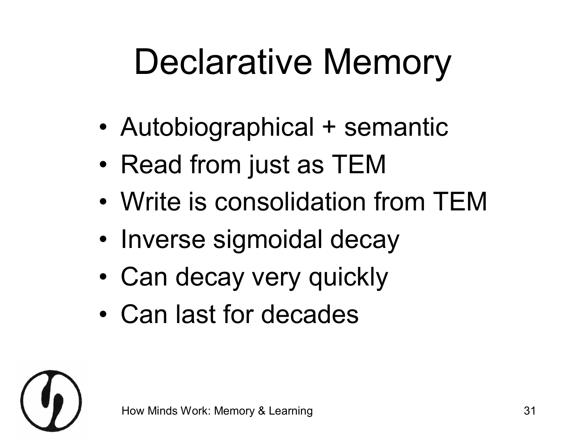## Declarative Memory

- Autobiographical + semantic
- Read from just as TEM
- Write is consolidation from TEM
- Inverse sigmoidal decay
- Can decay very quickly
- Can last for decades

![](_page_30_Picture_7.jpeg)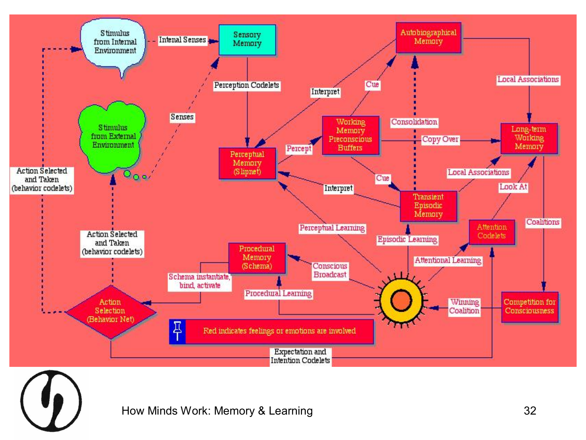![](_page_31_Figure_0.jpeg)

![](_page_31_Picture_1.jpeg)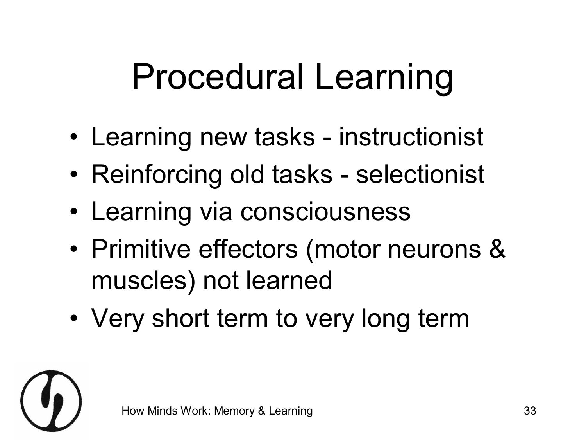## Procedural Learning

- Learning new tasks instructionist
- Reinforcing old tasks selectionist
- Learning via consciousness
- Primitive effectors (motor neurons & muscles) not learned
- Very short term to very long term

![](_page_32_Picture_6.jpeg)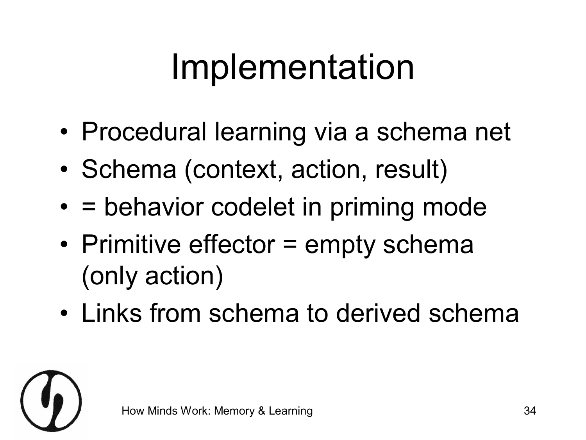### Implementation

- Procedural learning via a schema net
- Schema (context, action, result)
- = behavior codelet in priming mode
- Primitive effector = empty schema (only action)
- Links from schema to derived schema

![](_page_33_Picture_6.jpeg)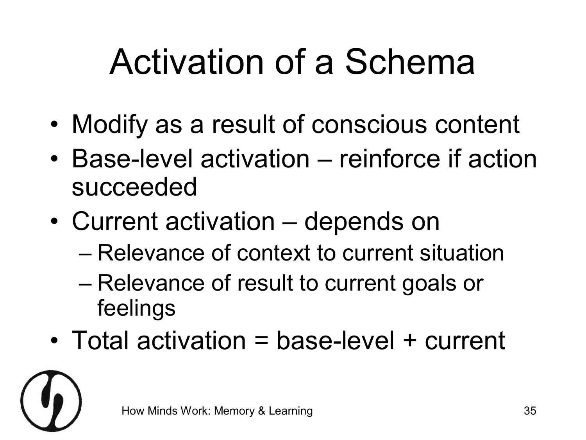## Activation of a Schema

- Modify as a result of conscious content
- Base-level activation reinforce if action succeeded
- Current activation depends on
	- Relevance of context to current situation
	- Relevance of result to current goals or feelings
- Total activation = base-level + current

![](_page_34_Picture_7.jpeg)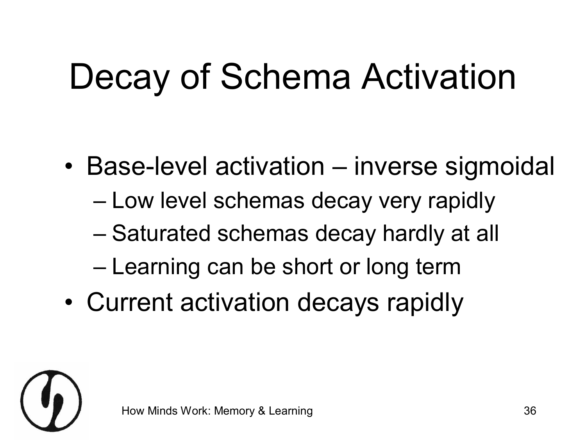## Decay of Schema Activation

- Base-level activation inverse sigmoidal
	- Low level schemas decay very rapidly
	- Saturated schemas decay hardly at all
	- Learning can be short or long term
- Current activation decays rapidly

![](_page_35_Picture_6.jpeg)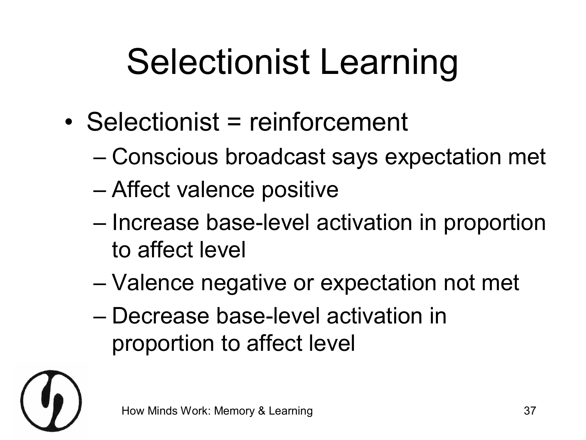## Selectionist Learning

- Selectionist = reinforcement
	- Conscious broadcast says expectation met
	- Affect valence positive
	- Increase base-level activation in proportion to affect level
	- Valence negative or expectation not met
	- Decrease baselevel activation in proportion to affect level

![](_page_36_Picture_7.jpeg)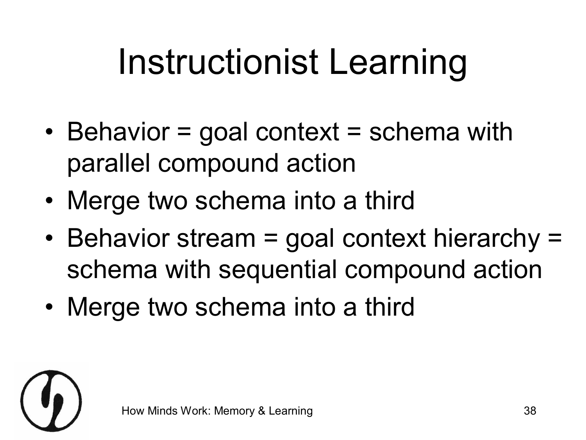## Instructionist Learning

- Behavior = goal context = schema with parallel compound action
- Merge two schema into a third
- Behavior stream = goal context hierarchy = schema with sequential compound action
- Merge two schema into a third

![](_page_37_Picture_5.jpeg)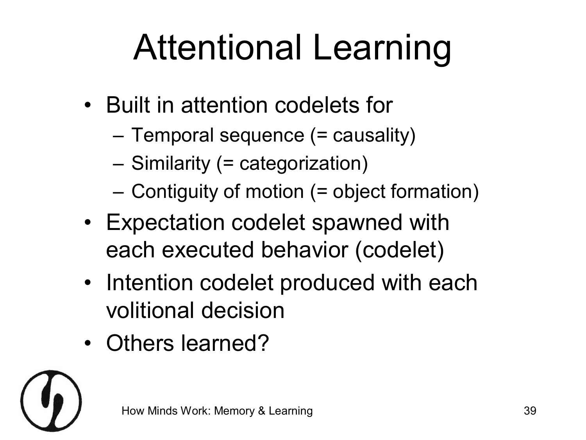## Attentional Learning

- Built in attention codelets for
	- Temporal sequence (= causality)
	- Similarity (= categorization)
	- Contiguity of motion (= object formation)
- Expectation codelet spawned with each executed behavior (codelet)
- Intention codelet produced with each volitional decision
- Others learned?

![](_page_38_Picture_8.jpeg)